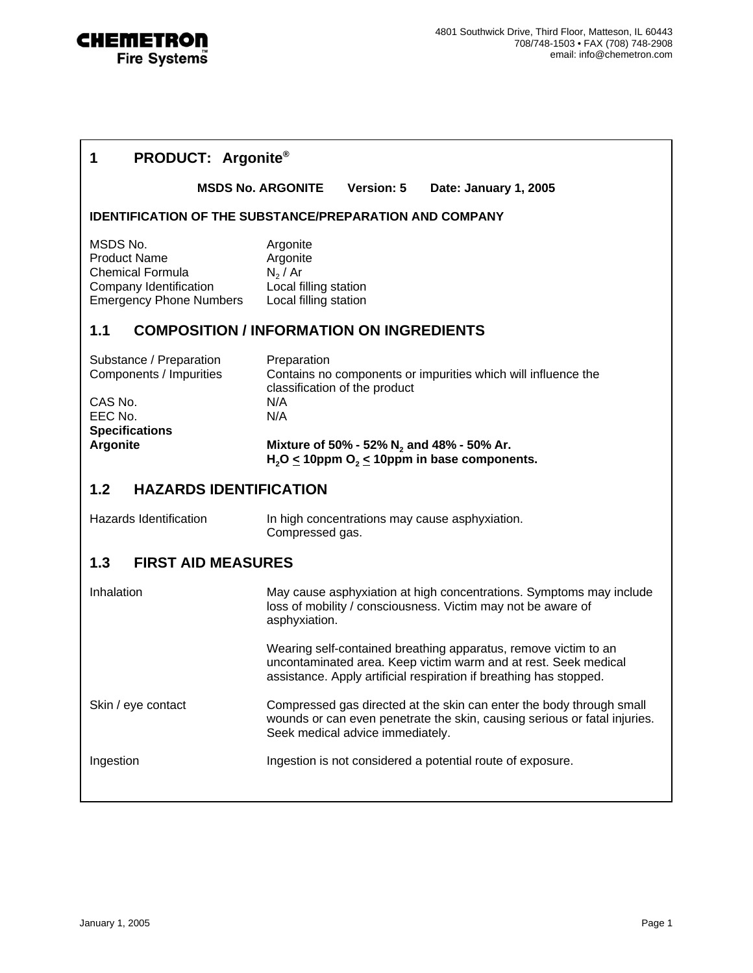

| <b>PRODUCT: Argonite®</b><br>1                                                                                         |                                                                                                                                                                                                          |
|------------------------------------------------------------------------------------------------------------------------|----------------------------------------------------------------------------------------------------------------------------------------------------------------------------------------------------------|
|                                                                                                                        | <b>Version: 5</b><br><b>MSDS No. ARGONITE</b><br>Date: January 1, 2005                                                                                                                                   |
|                                                                                                                        | <b>IDENTIFICATION OF THE SUBSTANCE/PREPARATION AND COMPANY</b>                                                                                                                                           |
| MSDS No.<br><b>Product Name</b><br><b>Chemical Formula</b><br>Company Identification<br><b>Emergency Phone Numbers</b> | Argonite<br>Argonite<br>$N_2/Ar$<br>Local filling station<br>Local filling station                                                                                                                       |
| 1.1                                                                                                                    | <b>COMPOSITION / INFORMATION ON INGREDIENTS</b>                                                                                                                                                          |
| Substance / Preparation<br>Components / Impurities                                                                     | Preparation<br>Contains no components or impurities which will influence the<br>classification of the product                                                                                            |
| CAS No.<br>EEC No.                                                                                                     | N/A<br>N/A                                                                                                                                                                                               |
| <b>Specifications</b><br><b>Argonite</b>                                                                               | Mixture of 50% - 52% $N_2$ and 48% - 50% Ar.<br>$H2O < 10$ ppm O <sub>2</sub> < 10ppm in base components.                                                                                                |
| 1.2<br><b>HAZARDS IDENTIFICATION</b>                                                                                   |                                                                                                                                                                                                          |
| Hazards Identification                                                                                                 | In high concentrations may cause asphyxiation.<br>Compressed gas.                                                                                                                                        |
| 1.3<br><b>FIRST AID MEASURES</b>                                                                                       |                                                                                                                                                                                                          |
| Inhalation                                                                                                             | May cause asphyxiation at high concentrations. Symptoms may include<br>loss of mobility / consciousness. Victim may not be aware of<br>asphyxiation.                                                     |
|                                                                                                                        | Wearing self-contained breathing apparatus, remove victim to an<br>uncontaminated area. Keep victim warm and at rest. Seek medical<br>assistance. Apply artificial respiration if breathing has stopped. |
| Skin / eye contact                                                                                                     | Compressed gas directed at the skin can enter the body through small<br>wounds or can even penetrate the skin, causing serious or fatal injuries.<br>Seek medical advice immediately.                    |
| Ingestion                                                                                                              | Ingestion is not considered a potential route of exposure.                                                                                                                                               |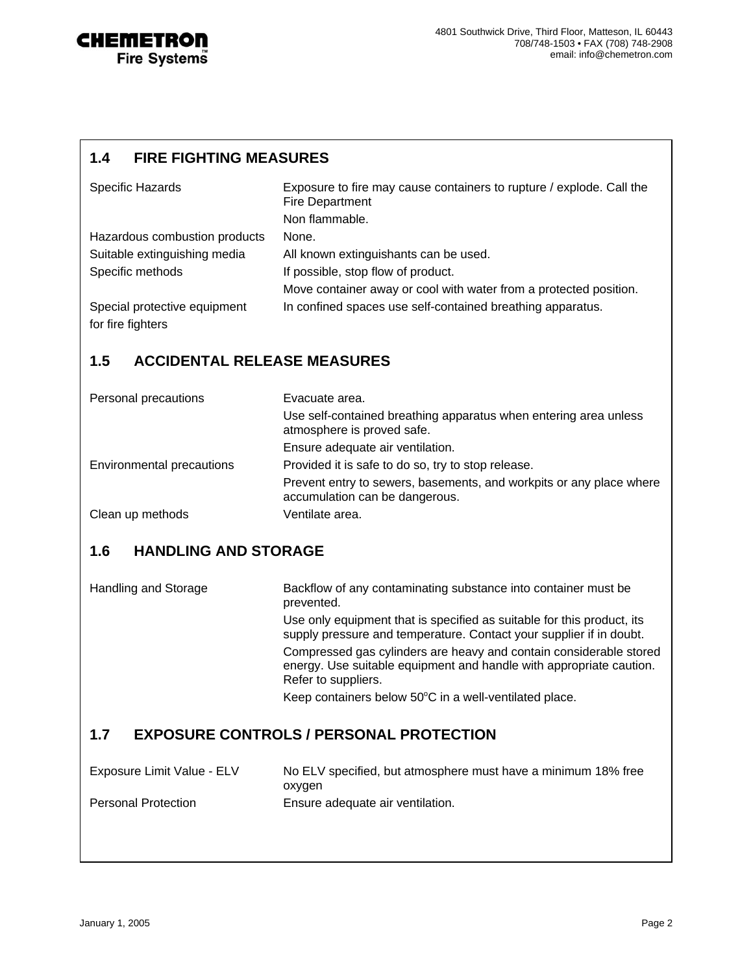

### **1.4 FIRE FIGHTING MEASURES**

| <b>Specific Hazards</b>       | Exposure to fire may cause containers to rupture / explode. Call the<br><b>Fire Department</b> |
|-------------------------------|------------------------------------------------------------------------------------------------|
|                               | Non flammable.                                                                                 |
| Hazardous combustion products | None.                                                                                          |
| Suitable extinguishing media  | All known extinguishants can be used.                                                          |
| Specific methods              | If possible, stop flow of product.                                                             |
|                               | Move container away or cool with water from a protected position.                              |
| Special protective equipment  | In confined spaces use self-contained breathing apparatus.                                     |
| for fire fighters             |                                                                                                |

# **1.5 ACCIDENTAL RELEASE MEASURES**

| Personal precautions      | Evacuate area.                                                                                        |
|---------------------------|-------------------------------------------------------------------------------------------------------|
|                           | Use self-contained breathing apparatus when entering area unless<br>atmosphere is proved safe.        |
|                           | Ensure adequate air ventilation.                                                                      |
| Environmental precautions | Provided it is safe to do so, try to stop release.                                                    |
|                           | Prevent entry to sewers, basements, and workpits or any place where<br>accumulation can be dangerous. |
| Clean up methods          | Ventilate area.                                                                                       |

# **1.6 HANDLING AND STORAGE**

| Handling and Storage | Backflow of any contaminating substance into container must be<br>prevented.                                                                                     |
|----------------------|------------------------------------------------------------------------------------------------------------------------------------------------------------------|
|                      | Use only equipment that is specified as suitable for this product, its<br>supply pressure and temperature. Contact your supplier if in doubt.                    |
|                      | Compressed gas cylinders are heavy and contain considerable stored<br>energy. Use suitable equipment and handle with appropriate caution.<br>Refer to suppliers. |
|                      | Keep containers below 50°C in a well-ventilated place.                                                                                                           |
|                      |                                                                                                                                                                  |

# **1.7 EXPOSURE CONTROLS / PERSONAL PROTECTION**

| Exposure Limit Value - ELV | No ELV specified, but atmosphere must have a minimum 18% free |
|----------------------------|---------------------------------------------------------------|
|                            | oxygen                                                        |
| <b>Personal Protection</b> | Ensure adequate air ventilation.                              |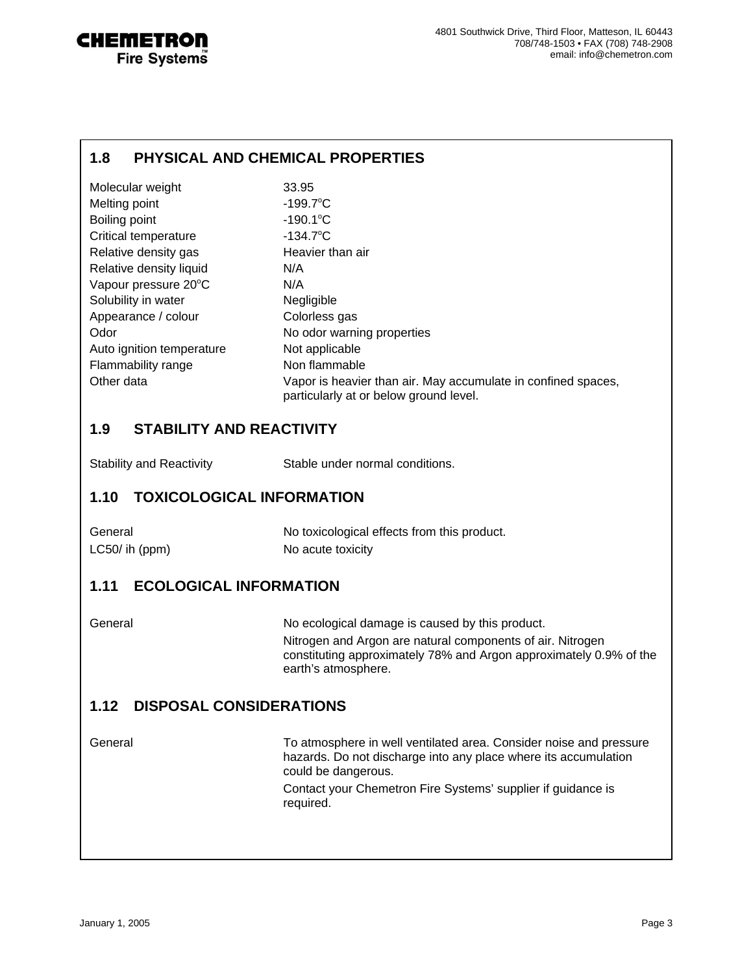

#### **1.8 PHYSICAL AND CHEMICAL PROPERTIES**

| Molecular weight          | 33.95                                                                                                   |
|---------------------------|---------------------------------------------------------------------------------------------------------|
| Melting point             | $-199.7^{\circ}$ C                                                                                      |
| Boiling point             | $-190.1^{\circ}$ C                                                                                      |
| Critical temperature      | $-134.7^{\circ}$ C                                                                                      |
| Relative density gas      | Heavier than air                                                                                        |
| Relative density liquid   | N/A                                                                                                     |
| Vapour pressure 20°C      | N/A                                                                                                     |
| Solubility in water       | <b>Negligible</b>                                                                                       |
| Appearance / colour       | Colorless gas                                                                                           |
| Odor                      | No odor warning properties                                                                              |
| Auto ignition temperature | Not applicable                                                                                          |
| Flammability range        | Non flammable                                                                                           |
| Other data                | Vapor is heavier than air. May accumulate in confined spaces,<br>particularly at or below ground level. |

#### **1.9 STABILITY AND REACTIVITY**

| <b>Stability and Reactivity</b> |  |
|---------------------------------|--|
|---------------------------------|--|

Stable under normal conditions.

#### **1.10 TOXICOLOGICAL INFORMATION**

| General       | No toxicological effects from this product. |
|---------------|---------------------------------------------|
| LC50/ih (ppm) | No acute toxicity                           |

#### **1.11 ECOLOGICAL INFORMATION**

General General No ecological damage is caused by this product. Nitrogen and Argon are natural components of air. Nitrogen constituting approximately 78% and Argon approximately 0.9% of the earth's atmosphere.

# **1.12 DISPOSAL CONSIDERATIONS**

General To atmosphere in well ventilated area. Consider noise and pressure hazards. Do not discharge into any place where its accumulation could be dangerous. Contact your Chemetron Fire Systems' supplier if guidance is required.